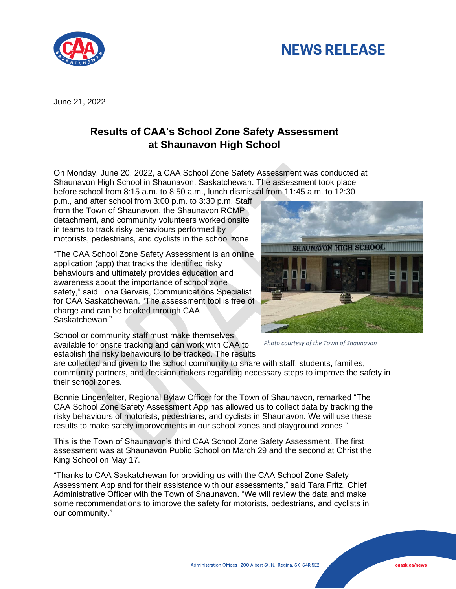## **NEWS RELEASE**



June 21, 2022

## **Results of CAA's School Zone Safety Assessment at Shaunavon High School**

On Monday, June 20, 2022, a CAA School Zone Safety Assessment was conducted at Shaunavon High School in Shaunavon, Saskatchewan. The assessment took place before school from 8:15 a.m. to 8:50 a.m., lunch dismissal from 11:45 a.m. to 12:30

p.m., and after school from 3:00 p.m. to 3:30 p.m. Staff from the Town of Shaunavon, the Shaunavon RCMP detachment, and community volunteers worked onsite in teams to track risky behaviours performed by motorists, pedestrians, and cyclists in the school zone.

"The CAA School Zone Safety Assessment is an online application (app) that tracks the identified risky behaviours and ultimately provides education and awareness about the importance of school zone safety," said Lona Gervais, Communications Specialist for CAA Saskatchewan. "The assessment tool is free of charge and can be booked through CAA Saskatchewan."



*Photo courtesy of the Town of Shaunavon*

School or community staff must make themselves available for onsite tracking and can work with CAA to establish the risky behaviours to be tracked. The results

are collected and given to the school community to share with staff, students, families, community partners, and decision makers regarding necessary steps to improve the safety in their school zones.

Bonnie Lingenfelter, Regional Bylaw Officer for the Town of Shaunavon, remarked "The CAA School Zone Safety Assessment App has allowed us to collect data by tracking the risky behaviours of motorists, pedestrians, and cyclists in Shaunavon. We will use these results to make safety improvements in our school zones and playground zones."

This is the Town of Shaunavon's third CAA School Zone Safety Assessment. The first assessment was at Shaunavon Public School on March 29 and the second at Christ the King School on May 17.

"Thanks to CAA Saskatchewan for providing us with the CAA School Zone Safety Assessment App and for their assistance with our assessments," said Tara Fritz, Chief Administrative Officer with the Town of Shaunavon. "We will review the data and make some recommendations to improve the safety for motorists, pedestrians, and cyclists in our community."

caask.ca/news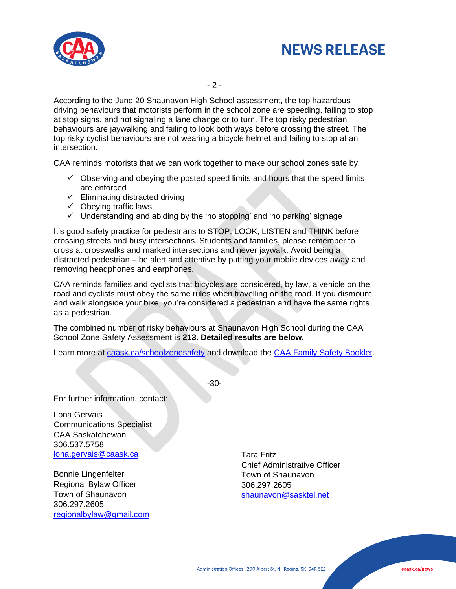



- 2 -

According to the June 20 Shaunavon High School assessment, the top hazardous driving behaviours that motorists perform in the school zone are speeding, failing to stop at stop signs, and not signaling a lane change or to turn. The top risky pedestrian behaviours are jaywalking and failing to look both ways before crossing the street. The top risky cyclist behaviours are not wearing a bicycle helmet and failing to stop at an intersection.

CAA reminds motorists that we can work together to make our school zones safe by:

- $\checkmark$  Observing and obeying the posted speed limits and hours that the speed limits are enforced
- $\checkmark$  Eliminating distracted driving
- $\checkmark$  Obeying traffic laws
- ✓ Understanding and abiding by the 'no stopping' and 'no parking' signage

It's good safety practice for pedestrians to STOP, LOOK, LISTEN and THINK before crossing streets and busy intersections. Students and families, please remember to cross at crosswalks and marked intersections and never jaywalk. Avoid being a distracted pedestrian – be alert and attentive by putting your mobile devices away and removing headphones and earphones.

CAA reminds families and cyclists that bicycles are considered, by law, a vehicle on the road and cyclists must obey the same rules when travelling on the road. If you dismount and walk alongside your bike, you're considered a pedestrian and have the same rights as a pedestrian.

The combined number of risky behaviours at Shaunavon High School during the CAA School Zone Safety Assessment is **213. Detailed results are below.**

Learn more at [caask.ca/schoolzonesafety](http://www.caask.ca/schoolzonesafety) and download the [CAA Family Safety Booklet.](https://cdn.caask.ca/s3fs-public/Communications/CAA%20Family%20Safety%20Booklet%202022%20Spring%20Summer%20Pg1-4-06-09.pdf)

-30-

For further information, contact:

Lona Gervais Communications Specialist CAA Saskatchewan 306.537.5758 [lona.gervais@caask.ca](mailto:lona.gervais@caask.ca) 

Bonnie Lingenfelter Regional Bylaw Officer Town of Shaunavon 306.297.2605 [regionalbylaw@gmail.com](mailto:regionalbylaw@gmail.com)

Tara Fritz Chief Administrative Officer Town of Shaunavon 306.297.2605 [shaunavon@sasktel.net](mailto:shaunavon@sasktel.net)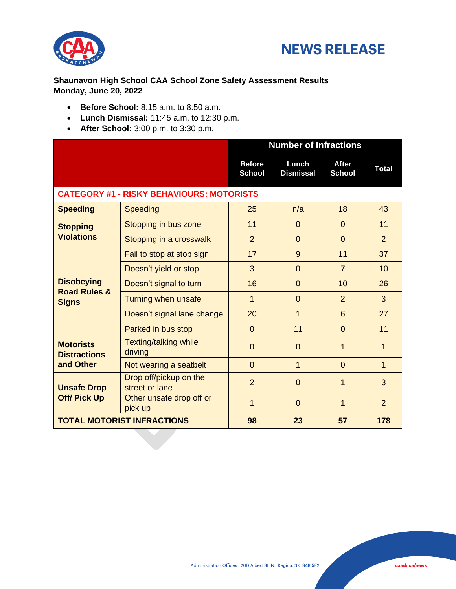



## **Shaunavon High School CAA School Zone Safety Assessment Results Monday, June 20, 2022**

- **Before School:** 8:15 a.m. to 8:50 a.m.
- **Lunch Dismissal:** 11:45 a.m. to 12:30 p.m.
- **After School:** 3:00 p.m. to 3:30 p.m.

|                                                              |                                          | <b>Number of Infractions</b>   |                           |                               |                |  |  |
|--------------------------------------------------------------|------------------------------------------|--------------------------------|---------------------------|-------------------------------|----------------|--|--|
|                                                              |                                          | <b>Before</b><br><b>School</b> | Lunch<br><b>Dismissal</b> | <b>After</b><br><b>School</b> | <b>Total</b>   |  |  |
| <b>CATEGORY #1 - RISKY BEHAVIOURS: MOTORISTS</b>             |                                          |                                |                           |                               |                |  |  |
| <b>Speeding</b>                                              | <b>Speeding</b>                          | 25                             | n/a                       | 18                            | 43             |  |  |
| <b>Stopping</b><br><b>Violations</b>                         | Stopping in bus zone                     | 11                             | $\Omega$                  | $\mathbf 0$                   | 11             |  |  |
|                                                              | Stopping in a crosswalk                  | $\overline{2}$                 | $\overline{0}$            | $\overline{0}$                | $\overline{2}$ |  |  |
| <b>Disobeying</b><br><b>Road Rules &amp;</b><br><b>Signs</b> | Fail to stop at stop sign                | 17                             | 9                         | 11                            | 37             |  |  |
|                                                              | Doesn't yield or stop                    | 3                              | $\overline{0}$            | $\overline{7}$                | 10             |  |  |
|                                                              | Doesn't signal to turn                   | 16                             | $\Omega$                  | 10                            | 26             |  |  |
|                                                              | Turning when unsafe                      | 1                              | $\Omega$                  | $\overline{2}$                | 3              |  |  |
|                                                              | Doesn't signal lane change               | 20                             | 1                         | 6                             | 27             |  |  |
|                                                              | Parked in bus stop                       | $\mathbf{0}$                   | 11                        | $\overline{0}$                | 11             |  |  |
| <b>Motorists</b><br><b>Distractions</b><br>and Other         | <b>Texting/talking while</b><br>driving  | $\overline{0}$                 | $\overline{0}$            | 1                             | 1              |  |  |
|                                                              | Not wearing a seatbelt                   | $\overline{0}$                 | 1                         | $\overline{0}$                | 1              |  |  |
| <b>Unsafe Drop</b><br><b>Off/ Pick Up</b>                    | Drop off/pickup on the<br>street or lane | $\overline{2}$                 | $\overline{0}$            | 1                             | 3              |  |  |
|                                                              | Other unsafe drop off or<br>pick up      | 1                              | $\Omega$                  | 1                             | $\overline{2}$ |  |  |
| <b>TOTAL MOTORIST INFRACTIONS</b>                            |                                          | 98                             | 23                        | 57                            | 178            |  |  |